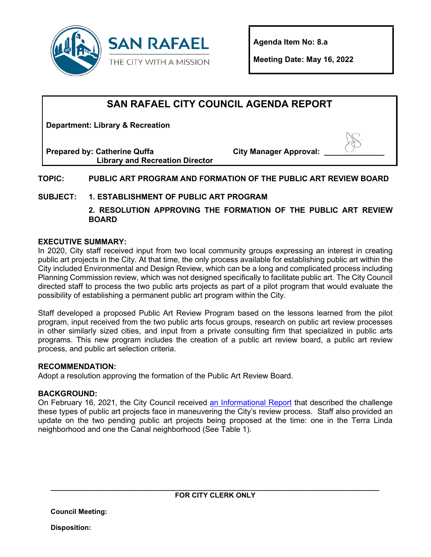

**Agenda Item No: 8.a**

**Meeting Date: May 16, 2022**

## **SAN RAFAEL CITY COUNCIL AGENDA REPORT**

**Department: Library & Recreation**

**Prepared by: Catherine Quffa Library and Recreation Director** **City Manager Approval:** 

## **TOPIC: PUBLIC ART PROGRAM AND FORMATION OF THE PUBLIC ART REVIEW BOARD**

## **SUBJECT: 1. ESTABLISHMENT OF PUBLIC ART PROGRAM**

**2. RESOLUTION APPROVING THE FORMATION OF THE PUBLIC ART REVIEW BOARD**

### **EXECUTIVE SUMMARY:**

In 2020, City staff received input from two local community groups expressing an interest in creating public art projects in the City. At that time, the only process available for establishing public art within the City included Environmental and Design Review, which can be a long and complicated process including Planning Commission review, which was not designed specifically to facilitate public art. The City Council directed staff to process the two public arts projects as part of a pilot program that would evaluate the possibility of establishing a permanent public art program within the City.

Staff developed a proposed Public Art Review Program based on the lessons learned from the pilot program, input received from the two public arts focus groups, research on public art review processes in other similarly sized cities, and input from a private consulting firm that specialized in public arts programs. This new program includes the creation of a public art review board, a public art review process, and public art selection criteria.

#### **RECOMMENDATION:**

Adopt a resolution approving the formation of the Public Art Review Board.

#### **BACKGROUND:**

On February 16, 2021, the City Council received [an Informational Report](https://storage.googleapis.com/proudcity/sanrafaelca/uploads/2021/02/6.b-Public-Arts-Project.pdf) that described the challenge these types of public art projects face in maneuvering the City's review process. Staff also provided an update on the two pending public art projects being proposed at the time: one in the Terra Linda neighborhood and one the Canal neighborhood (See Table 1).

**Council Meeting:** 

**Disposition:**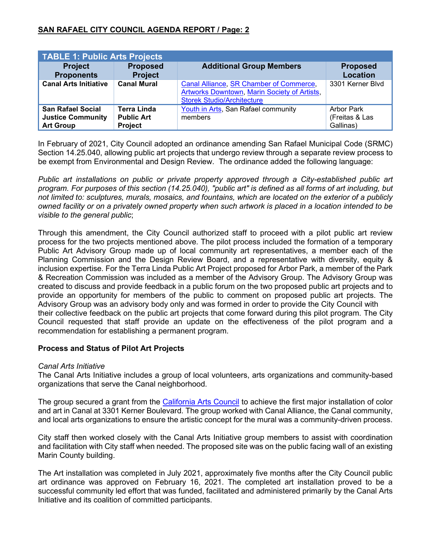| <b>TABLE 1: Public Arts Projects</b>                                     |                                                           |                                                                                                                              |                                           |
|--------------------------------------------------------------------------|-----------------------------------------------------------|------------------------------------------------------------------------------------------------------------------------------|-------------------------------------------|
| <b>Project</b><br><b>Proponents</b>                                      | <b>Proposed</b><br><b>Project</b>                         | <b>Additional Group Members</b>                                                                                              | <b>Proposed</b><br><b>Location</b>        |
| <b>Canal Arts Initiative</b>                                             | <b>Canal Mural</b>                                        | Canal Alliance, SR Chamber of Commerce,<br>Artworks Downtown, Marin Society of Artists,<br><b>Storek Studio/Architecture</b> | 3301 Kerner Blvd                          |
| <b>San Rafael Social</b><br><b>Justice Community</b><br><b>Art Group</b> | <b>Terra Linda</b><br><b>Public Art</b><br><b>Project</b> | Youth in Arts, San Rafael community<br>members                                                                               | Arbor Park<br>(Freitas & Las<br>Gallinas) |

In February of 2021, City Council adopted an ordinance amending San Rafael Municipal Code (SRMC) Section 14.25.040, allowing public art projects that undergo review through a separate review process to be exempt from Environmental and Design Review. The ordinance added the following language:

*Public art installations on public or private property approved through a City-established public art program. For purposes of this section (14.25.040), "public art" is defined as all forms of art including, but not limited to: sculptures, murals, mosaics, and fountains, which are located on the exterior of a publicly owned facility or on a privately owned property when such artwork is placed in a location intended to be visible to the general public*;

Through this amendment, the City Council authorized staff to proceed with a pilot public art review process for the two projects mentioned above. The pilot process included the formation of a temporary Public Art Advisory Group made up of local community art representatives, a member each of the Planning Commission and the Design Review Board, and a representative with diversity, equity & inclusion expertise. For the Terra Linda Public Art Project proposed for Arbor Park, a member of the Park & Recreation Commission was included as a member of the Advisory Group. The Advisory Group was created to discuss and provide feedback in a public forum on the two proposed public art projects and to provide an opportunity for members of the public to comment on proposed public art projects. The Advisory Group was an advisory body only and was formed in order to provide the City Council with their collective feedback on the public art projects that come forward during this pilot program. The City Council requested that staff provide an update on the effectiveness of the pilot program and a recommendation for establishing a permanent program.

#### **Process and Status of Pilot Art Projects**

#### *Canal Arts Initiative*

The Canal Arts Initiative includes a group of local volunteers, arts organizations and community-based organizations that serve the Canal neighborhood.

The group secured a grant from the [California Arts Council](https://arts.ca.gov/) to achieve the first major installation of color and art in Canal at 3301 Kerner Boulevard. The group worked with Canal Alliance, the Canal community, and local arts organizations to ensure the artistic concept for the mural was a community-driven process.

City staff then worked closely with the Canal Arts Initiative group members to assist with coordination and facilitation with City staff when needed. The proposed site was on the public facing wall of an existing Marin County building.

The Art installation was completed in July 2021, approximately five months after the City Council public art ordinance was approved on February 16, 2021. The completed art installation proved to be a successful community led effort that was funded, facilitated and administered primarily by the Canal Arts Initiative and its coalition of committed participants.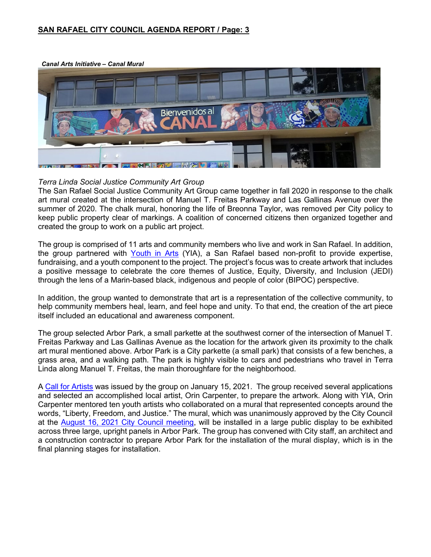#### **SAN RAFAEL CITY COUNCIL AGENDA REPORT / Page: 3**

*Canal Arts Initiative – Canal Mural*



#### *Terra Linda Social Justice Community Art Group*

The San Rafael Social Justice Community Art Group came together in fall 2020 in response to the chalk art mural created at the intersection of Manuel T. Freitas Parkway and Las Gallinas Avenue over the summer of 2020. The chalk mural, honoring the life of Breonna Taylor, was removed per City policy to keep public property clear of markings. A coalition of concerned citizens then organized together and created the group to work on a public art project.

The group is comprised of 11 arts and community members who live and work in San Rafael. In addition, the group partnered with [Youth in Arts](http://www.youthinarts.org/) (YIA), a San Rafael based non-profit to provide expertise, fundraising, and a youth component to the project. The project's focus was to create artwork that includes a positive message to celebrate the core themes of Justice, Equity, Diversity, and Inclusion (JEDI) through the lens of a Marin-based black, indigenous and people of color (BIPOC) perspective.

In addition, the group wanted to demonstrate that art is a representation of the collective community, to help community members heal, learn, and feel hope and unity. To that end, the creation of the art piece itself included an educational and awareness component.

The group selected Arbor Park, a small parkette at the southwest corner of the intersection of Manuel T. Freitas Parkway and Las Gallinas Avenue as the location for the artwork given its proximity to the chalk art mural mentioned above. Arbor Park is a City parkette (a small park) that consists of a few benches, a grass area, and a walking path. The park is highly visible to cars and pedestrians who travel in Terra Linda along Manuel T. Freitas, the main thoroughfare for the neighborhood.

A [Call for Artists](https://www.cityofsanrafael.org/documents/san-rafael-social-justice-community-art-group-purpose-and-call-for-artist/) was issued by the group on January 15, 2021. The group received several applications and selected an accomplished local artist, Orin Carpenter, to prepare the artwork. Along with YIA, Orin Carpenter mentored ten youth artists who collaborated on a mural that represented concepts around the words, "Liberty, Freedom, and Justice." The mural, which was unanimously approved by the City Council at the [August 16, 2021 City Council meeting,](https://www.youtube.com/watch?v=U5_0Oh05IKM&t=1394s) will be installed in a large public display to be exhibited across three large, upright panels in Arbor Park. The group has convened with City staff, an architect and a construction contractor to prepare Arbor Park for the installation of the mural display, which is in the final planning stages for installation.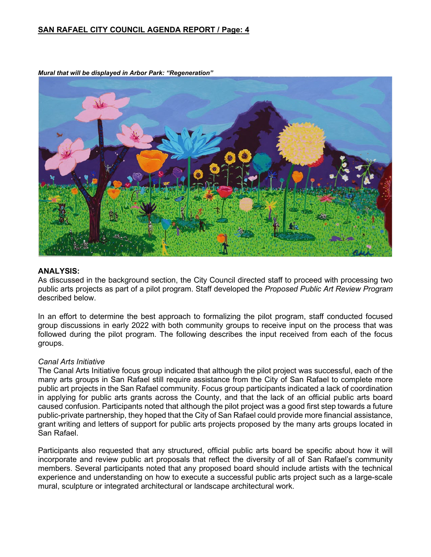#### **SAN RAFAEL CITY COUNCIL AGENDA REPORT / Page: 4**



*Mural that will be displayed in Arbor Park: "Regeneration"*

#### **ANALYSIS:**

As discussed in the background section, the City Council directed staff to proceed with processing two public arts projects as part of a pilot program. Staff developed the *Proposed Public Art Review Program* described below.

In an effort to determine the best approach to formalizing the pilot program, staff conducted focused group discussions in early 2022 with both community groups to receive input on the process that was followed during the pilot program. The following describes the input received from each of the focus groups.

#### *Canal Arts Initiative*

The Canal Arts Initiative focus group indicated that although the pilot project was successful, each of the many arts groups in San Rafael still require assistance from the City of San Rafael to complete more public art projects in the San Rafael community. Focus group participants indicated a lack of coordination in applying for public arts grants across the County, and that the lack of an official public arts board caused confusion. Participants noted that although the pilot project was a good first step towards a future public-private partnership, they hoped that the City of San Rafael could provide more financial assistance, grant writing and letters of support for public arts projects proposed by the many arts groups located in San Rafael.

Participants also requested that any structured, official public arts board be specific about how it will incorporate and review public art proposals that reflect the diversity of all of San Rafael's community members. Several participants noted that any proposed board should include artists with the technical experience and understanding on how to execute a successful public arts project such as a large-scale mural, sculpture or integrated architectural or landscape architectural work.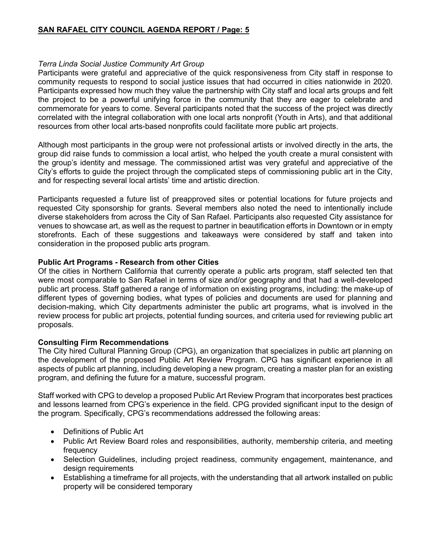#### *Terra Linda Social Justice Community Art Group*

Participants were grateful and appreciative of the quick responsiveness from City staff in response to community requests to respond to social justice issues that had occurred in cities nationwide in 2020. Participants expressed how much they value the partnership with City staff and local arts groups and felt the project to be a powerful unifying force in the community that they are eager to celebrate and commemorate for years to come. Several participants noted that the success of the project was directly correlated with the integral collaboration with one local arts nonprofit (Youth in Arts), and that additional resources from other local arts-based nonprofits could facilitate more public art projects.

Although most participants in the group were not professional artists or involved directly in the arts, the group did raise funds to commission a local artist, who helped the youth create a mural consistent with the group's identity and message. The commissioned artist was very grateful and appreciative of the City's efforts to guide the project through the complicated steps of commissioning public art in the City, and for respecting several local artists' time and artistic direction.

Participants requested a future list of preapproved sites or potential locations for future projects and requested City sponsorship for grants. Several members also noted the need to intentionally include diverse stakeholders from across the City of San Rafael. Participants also requested City assistance for venues to showcase art, as well as the request to partner in beautification efforts in Downtown or in empty storefronts. Each of these suggestions and takeaways were considered by staff and taken into consideration in the proposed public arts program.

#### **Public Art Programs - Research from other Cities**

Of the cities in Northern California that currently operate a public arts program, staff selected ten that were most comparable to San Rafael in terms of size and/or geography and that had a well-developed public art process. Staff gathered a range of information on existing programs, including: the make-up of different types of governing bodies, what types of policies and documents are used for planning and decision-making, which City departments administer the public art programs, what is involved in the review process for public art projects, potential funding sources, and criteria used for reviewing public art proposals.

#### **Consulting Firm Recommendations**

The City hired Cultural Planning Group (CPG), an organization that specializes in public art planning on the development of the proposed Public Art Review Program. CPG has significant experience in all aspects of public art planning, including developing a new program, creating a master plan for an existing program, and defining the future for a mature, successful program.

Staff worked with CPG to develop a proposed Public Art Review Program that incorporates best practices and lessons learned from CPG's experience in the field. CPG provided significant input to the design of the program. Specifically, CPG's recommendations addressed the following areas:

- Definitions of Public Art
- Public Art Review Board roles and responsibilities, authority, membership criteria, and meeting frequency
- Selection Guidelines, including project readiness, community engagement, maintenance, and design requirements
- Establishing a timeframe for all projects, with the understanding that all artwork installed on public property will be considered temporary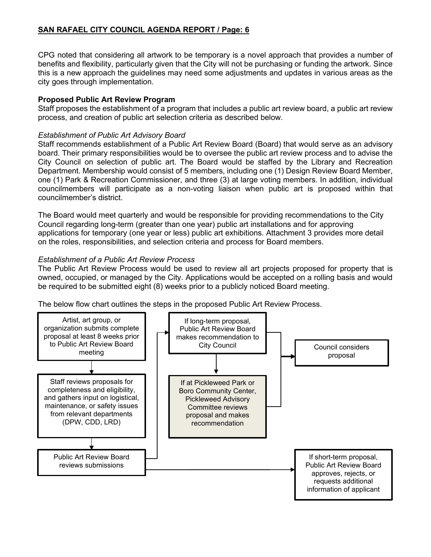## **SAN RAFAEL CITY COUNCIL AGENDA REPORT / Page: 6**

CPG noted that considering all artwork to be temporary is a novel approach that provides a number of benefits and flexibility, particularly given that the City will not be purchasing or funding the artwork. Since this is a new approach the guidelines may need some adjustments and updates in various areas as the city goes through implementation.

#### **Proposed Public Art Review Program**

Staff proposes the establishment of a program that includes a public art review board, a public art review process, and creation of public art selection criteria as described below.

#### *Establishment of Public Art Advisory Board*

Staff recommends establishment of a Public Art Review Board (Board) that would serve as an advisory board. Their primary responsibilities would be to oversee the public art review process and to advise the City Council on selection of public art. The Board would be staffed by the Library and Recreation Department. Membership would consist of 5 members, including one (1) Design Review Board Member, one (1) Park & Recreation Commissioner, and three (3) at large voting members. In addition, individual councilmembers will participate as a non-voting liaison when public art is proposed within that councilmember's district.

The Board would meet quarterly and would be responsible for providing recommendations to the City Council regarding long-term (greater than one year) public art installations and for approving applications for temporary (one year or less) public art exhibitions. Attachment 3 provides more detail on the roles, responsibilities, and selection criteria and process for Board members.

### *Establishment of a Public Art Review Process*

The Public Art Review Process would be used to review all art projects proposed for property that is owned, occupied, or managed by the City. Applications would be accepted on a rolling basis and would be required to be submitted eight (8) weeks prior to a publicly noticed Board meeting.

The below flow chart outlines the steps in the proposed Public Art Review Process.

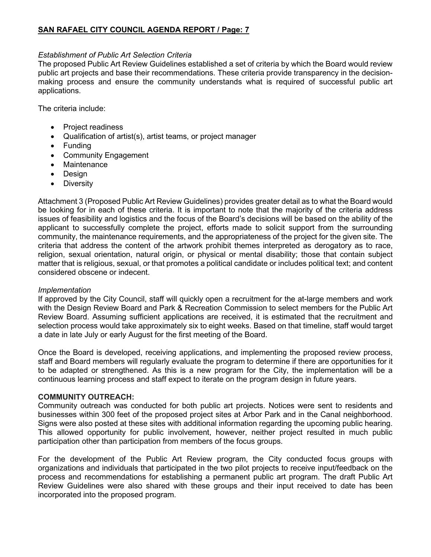#### *Establishment of Public Art Selection Criteria*

The proposed Public Art Review Guidelines established a set of criteria by which the Board would review public art projects and base their recommendations. These criteria provide transparency in the decisionmaking process and ensure the community understands what is required of successful public art applications.

The criteria include:

- Project readiness
- Qualification of artist(s), artist teams, or project manager
- Funding
- Community Engagement
- Maintenance
- Design
- Diversity

Attachment 3 (Proposed Public Art Review Guidelines) provides greater detail as to what the Board would be looking for in each of these criteria. It is important to note that the majority of the criteria address issues of feasibility and logistics and the focus of the Board's decisions will be based on the ability of the applicant to successfully complete the project, efforts made to solicit support from the surrounding community, the maintenance requirements, and the appropriateness of the project for the given site. The criteria that address the content of the artwork prohibit themes interpreted as derogatory as to race, religion, sexual orientation, natural origin, or physical or mental disability; those that contain subject matter that is religious, sexual, or that promotes a political candidate or includes political text; and content considered obscene or indecent.

#### *Implementation*

If approved by the City Council, staff will quickly open a recruitment for the at-large members and work with the Design Review Board and Park & Recreation Commission to select members for the Public Art Review Board. Assuming sufficient applications are received, it is estimated that the recruitment and selection process would take approximately six to eight weeks. Based on that timeline, staff would target a date in late July or early August for the first meeting of the Board.

Once the Board is developed, receiving applications, and implementing the proposed review process, staff and Board members will regularly evaluate the program to determine if there are opportunities for it to be adapted or strengthened. As this is a new program for the City, the implementation will be a continuous learning process and staff expect to iterate on the program design in future years.

#### **COMMUNITY OUTREACH:**

Community outreach was conducted for both public art projects. Notices were sent to residents and businesses within 300 feet of the proposed project sites at Arbor Park and in the Canal neighborhood. Signs were also posted at these sites with additional information regarding the upcoming public hearing. This allowed opportunity for public involvement, however, neither project resulted in much public participation other than participation from members of the focus groups.

For the development of the Public Art Review program, the City conducted focus groups with organizations and individuals that participated in the two pilot projects to receive input/feedback on the process and recommendations for establishing a permanent public art program. The draft Public Art Review Guidelines were also shared with these groups and their input received to date has been incorporated into the proposed program.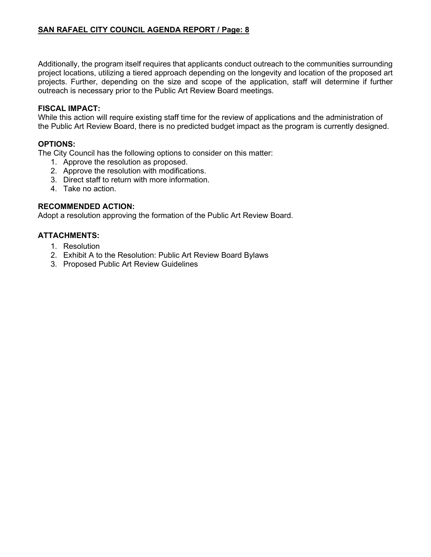Additionally, the program itself requires that applicants conduct outreach to the communities surrounding project locations, utilizing a tiered approach depending on the longevity and location of the proposed art projects. Further, depending on the size and scope of the application, staff will determine if further outreach is necessary prior to the Public Art Review Board meetings.

## **FISCAL IMPACT:**

While this action will require existing staff time for the review of applications and the administration of the Public Art Review Board, there is no predicted budget impact as the program is currently designed.

### **OPTIONS:**

The City Council has the following options to consider on this matter:

- 1. Approve the resolution as proposed.
- 2. Approve the resolution with modifications.
- 3. Direct staff to return with more information.
- 4. Take no action.

## **RECOMMENDED ACTION:**

Adopt a resolution approving the formation of the Public Art Review Board.

## **ATTACHMENTS:**

- 1. Resolution
- 2. Exhibit A to the Resolution: Public Art Review Board Bylaws
- 3. Proposed Public Art Review Guidelines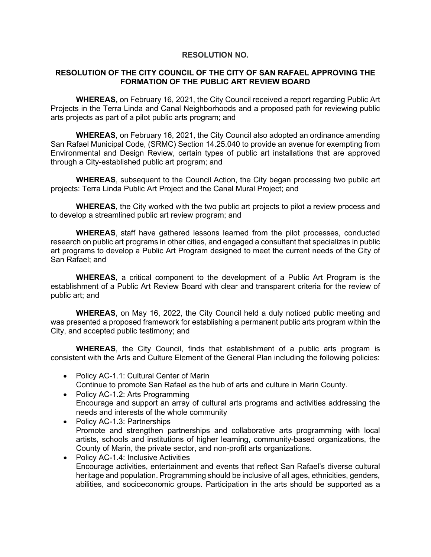#### **RESOLUTION NO.**

#### **RESOLUTION OF THE CITY COUNCIL OF THE CITY OF SAN RAFAEL APPROVING THE FORMATION OF THE PUBLIC ART REVIEW BOARD**

**WHEREAS,** on February 16, 2021, the City Council received a report regarding Public Art Projects in the Terra Linda and Canal Neighborhoods and a proposed path for reviewing public arts projects as part of a pilot public arts program; and

**WHEREAS**, on February 16, 2021, the City Council also adopted an ordinance amending San Rafael Municipal Code, (SRMC) Section 14.25.040 to provide an avenue for exempting from Environmental and Design Review, certain types of public art installations that are approved through a City-established public art program; and

**WHEREAS**, subsequent to the Council Action, the City began processing two public art projects: Terra Linda Public Art Project and the Canal Mural Project; and

**WHEREAS**, the City worked with the two public art projects to pilot a review process and to develop a streamlined public art review program; and

**WHEREAS**, staff have gathered lessons learned from the pilot processes, conducted research on public art programs in other cities, and engaged a consultant that specializes in public art programs to develop a Public Art Program designed to meet the current needs of the City of San Rafael; and

**WHEREAS**, a critical component to the development of a Public Art Program is the establishment of a Public Art Review Board with clear and transparent criteria for the review of public art; and

**WHEREAS**, on May 16, 2022, the City Council held a duly noticed public meeting and was presented a proposed framework for establishing a permanent public arts program within the City, and accepted public testimony; and

**WHEREAS**, the City Council, finds that establishment of a public arts program is consistent with the Arts and Culture Element of the General Plan including the following policies:

- Policy AC-1.1: Cultural Center of Marin Continue to promote San Rafael as the hub of arts and culture in Marin County.
- Policy AC-1.2: Arts Programming Encourage and support an array of cultural arts programs and activities addressing the needs and interests of the whole community
- Policy AC-1.3: Partnerships Promote and strengthen partnerships and collaborative arts programming with local artists, schools and institutions of higher learning, community-based organizations, the County of Marin, the private sector, and non-profit arts organizations.
- Policy AC-1.4: Inclusive Activities Encourage activities, entertainment and events that reflect San Rafael's diverse cultural heritage and population. Programming should be inclusive of all ages, ethnicities, genders, abilities, and socioeconomic groups. Participation in the arts should be supported as a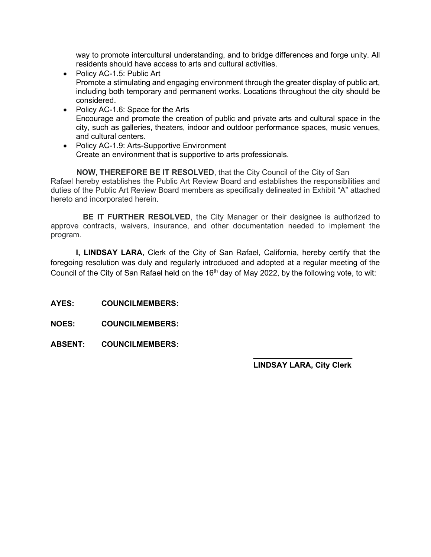way to promote intercultural understanding, and to bridge differences and forge unity. All residents should have access to arts and cultural activities.

- Policy AC-1.5: Public Art Promote a stimulating and engaging environment through the greater display of public art, including both temporary and permanent works. Locations throughout the city should be considered.
- Policy AC-1.6: Space for the Arts Encourage and promote the creation of public and private arts and cultural space in the city, such as galleries, theaters, indoor and outdoor performance spaces, music venues, and cultural centers.
- Policy AC-1.9: Arts-Supportive Environment Create an environment that is supportive to arts professionals.

 **NOW, THEREFORE BE IT RESOLVED**, that the City Council of the City of San Rafael hereby establishes the Public Art Review Board and establishes the responsibilities and duties of the Public Art Review Board members as specifically delineated in Exhibit "A" attached hereto and incorporated herein.

**BE IT FURTHER RESOLVED**, the City Manager or their designee is authorized to approve contracts, waivers, insurance, and other documentation needed to implement the program.

**I, LINDSAY LARA**, Clerk of the City of San Rafael, California, hereby certify that the foregoing resolution was duly and regularly introduced and adopted at a regular meeting of the Council of the City of San Rafael held on the 16<sup>th</sup> day of May 2022, by the following vote, to wit:

**AYES: COUNCILMEMBERS:**

- **NOES: COUNCILMEMBERS:**
- **ABSENT: COUNCILMEMBERS:**

#### $\mathcal{L}=\{1,2,3,4,5\}$ **LINDSAY LARA, City Clerk**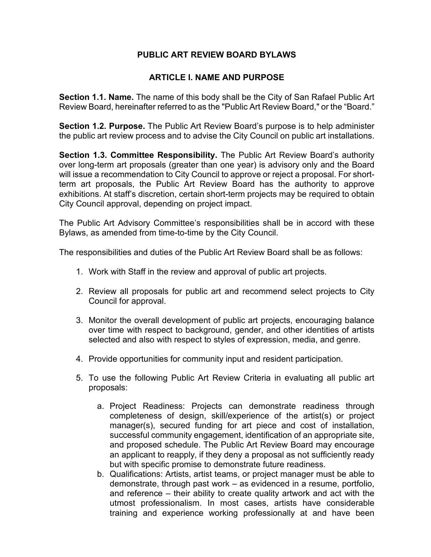## **PUBLIC ART REVIEW BOARD BYLAWS**

## **ARTICLE I. NAME AND PURPOSE**

**Section 1.1. Name.** The name of this body shall be the City of San Rafael Public Art Review Board, hereinafter referred to as the "Public Art Review Board," or the "Board."

**Section 1.2. Purpose.** The Public Art Review Board's purpose is to help administer the public art review process and to advise the City Council on public art installations.

**Section 1.3. Committee Responsibility.** The Public Art Review Board's authority over long-term art proposals (greater than one year) is advisory only and the Board will issue a recommendation to City Council to approve or reject a proposal. For shortterm art proposals, the Public Art Review Board has the authority to approve exhibitions. At staff's discretion, certain short-term projects may be required to obtain City Council approval, depending on project impact.

The Public Art Advisory Committee's responsibilities shall be in accord with these Bylaws, as amended from time-to-time by the City Council.

The responsibilities and duties of the Public Art Review Board shall be as follows:

- 1. Work with Staff in the review and approval of public art projects.
- 2. Review all proposals for public art and recommend select projects to City Council for approval.
- 3. Monitor the overall development of public art projects, encouraging balance over time with respect to background, gender, and other identities of artists selected and also with respect to styles of expression, media, and genre.
- 4. Provide opportunities for community input and resident participation.
- 5. To use the following Public Art Review Criteria in evaluating all public art proposals:
	- a. Project Readiness: Projects can demonstrate readiness through completeness of design, skill/experience of the artist(s) or project manager(s), secured funding for art piece and cost of installation, successful community engagement, identification of an appropriate site, and proposed schedule. The Public Art Review Board may encourage an applicant to reapply, if they deny a proposal as not sufficiently ready but with specific promise to demonstrate future readiness.
	- b. Qualifications: Artists, artist teams, or project manager must be able to demonstrate, through past work – as evidenced in a resume, portfolio, and reference – their ability to create quality artwork and act with the utmost professionalism. In most cases, artists have considerable training and experience working professionally at and have been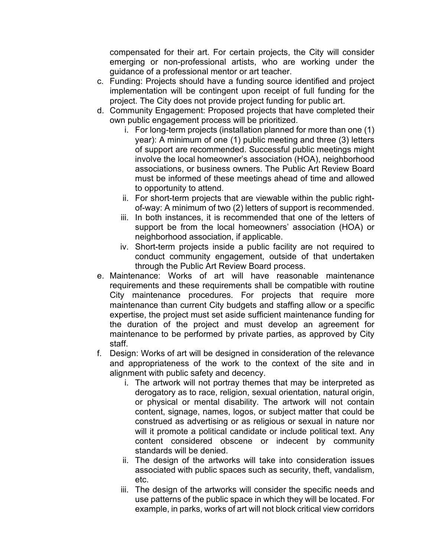compensated for their art. For certain projects, the City will consider emerging or non-professional artists, who are working under the guidance of a professional mentor or art teacher.

- c. Funding: Projects should have a funding source identified and project implementation will be contingent upon receipt of full funding for the project. The City does not provide project funding for public art.
- d. Community Engagement: Proposed projects that have completed their own public engagement process will be prioritized.
	- i. For long-term projects (installation planned for more than one (1) year): A minimum of one (1) public meeting and three (3) letters of support are recommended. Successful public meetings might involve the local homeowner's association (HOA), neighborhood associations, or business owners. The Public Art Review Board must be informed of these meetings ahead of time and allowed to opportunity to attend.
	- ii. For short-term projects that are viewable within the public rightof-way: A minimum of two (2) letters of support is recommended.
	- iii. In both instances, it is recommended that one of the letters of support be from the local homeowners' association (HOA) or neighborhood association, if applicable.
	- iv. Short-term projects inside a public facility are not required to conduct community engagement, outside of that undertaken through the Public Art Review Board process.
- e. Maintenance: Works of art will have reasonable maintenance requirements and these requirements shall be compatible with routine City maintenance procedures. For projects that require more maintenance than current City budgets and staffing allow or a specific expertise, the project must set aside sufficient maintenance funding for the duration of the project and must develop an agreement for maintenance to be performed by private parties, as approved by City staff.
- f. Design: Works of art will be designed in consideration of the relevance and appropriateness of the work to the context of the site and in alignment with public safety and decency.
	- i. The artwork will not portray themes that may be interpreted as derogatory as to race, religion, sexual orientation, natural origin, or physical or mental disability. The artwork will not contain content, signage, names, logos, or subject matter that could be construed as advertising or as religious or sexual in nature nor will it promote a political candidate or include political text. Any content considered obscene or indecent by community standards will be denied.
	- ii. The design of the artworks will take into consideration issues associated with public spaces such as security, theft, vandalism, etc.
	- iii. The design of the artworks will consider the specific needs and use patterns of the public space in which they will be located. For example, in parks, works of art will not block critical view corridors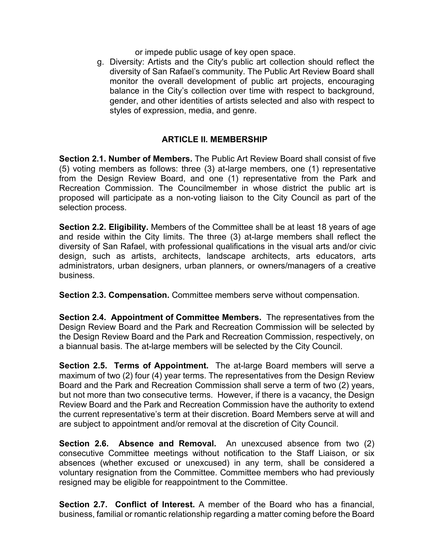or impede public usage of key open space.

g. Diversity: Artists and the City's public art collection should reflect the diversity of San Rafael's community. The Public Art Review Board shall monitor the overall development of public art projects, encouraging balance in the City's collection over time with respect to background, gender, and other identities of artists selected and also with respect to styles of expression, media, and genre.

## **ARTICLE II. MEMBERSHIP**

**Section 2.1. Number of Members.** The Public Art Review Board shall consist of five (5) voting members as follows: three (3) at-large members, one (1) representative from the Design Review Board, and one (1) representative from the Park and Recreation Commission. The Councilmember in whose district the public art is proposed will participate as a non-voting liaison to the City Council as part of the selection process.

**Section 2.2. Eligibility.** Members of the Committee shall be at least 18 years of age and reside within the City limits. The three (3) at-large members shall reflect the diversity of San Rafael, with professional qualifications in the visual arts and/or civic design, such as artists, architects, landscape architects, arts educators, arts administrators, urban designers, urban planners, or owners/managers of a creative business.

**Section 2.3. Compensation.** Committee members serve without compensation.

**Section 2.4. Appointment of Committee Members.** The representatives from the Design Review Board and the Park and Recreation Commission will be selected by the Design Review Board and the Park and Recreation Commission, respectively, on a biannual basis. The at-large members will be selected by the City Council.

**Section 2.5. Terms of Appointment.** The at-large Board members will serve a maximum of two (2) four (4) year terms. The representatives from the Design Review Board and the Park and Recreation Commission shall serve a term of two (2) years, but not more than two consecutive terms. However, if there is a vacancy, the Design Review Board and the Park and Recreation Commission have the authority to extend the current representative's term at their discretion. Board Members serve at will and are subject to appointment and/or removal at the discretion of City Council.

**Section 2.6. Absence and Removal.** An unexcused absence from two (2) consecutive Committee meetings without notification to the Staff Liaison, or six absences (whether excused or unexcused) in any term, shall be considered a voluntary resignation from the Committee. Committee members who had previously resigned may be eligible for reappointment to the Committee.

**Section 2.7. Conflict of Interest.** A member of the Board who has a financial, business, familial or romantic relationship regarding a matter coming before the Board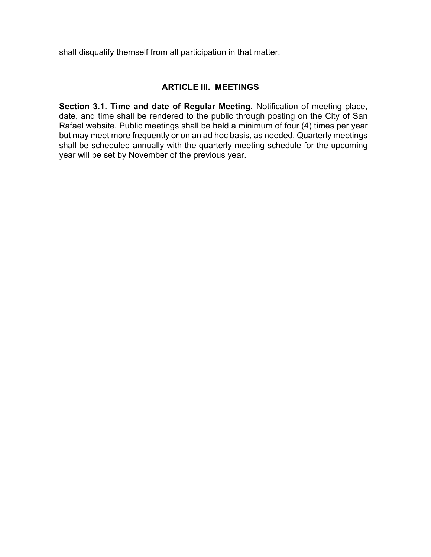shall disqualify themself from all participation in that matter.

## **ARTICLE III. MEETINGS**

**Section 3.1. Time and date of Regular Meeting.** Notification of meeting place, date, and time shall be rendered to the public through posting on the City of San Rafael website. Public meetings shall be held a minimum of four (4) times per year but may meet more frequently or on an ad hoc basis, as needed. Quarterly meetings shall be scheduled annually with the quarterly meeting schedule for the upcoming year will be set by November of the previous year.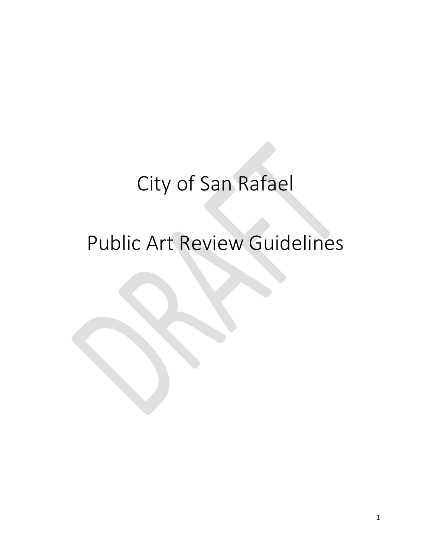## City of San Rafael

# Public Art Review Guidelines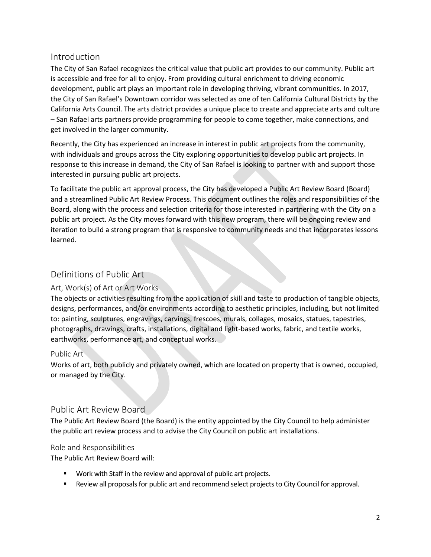## Introduction

The City of San Rafael recognizes the critical value that public art provides to our community. Public art is accessible and free for all to enjoy. From providing cultural enrichment to driving economic development, public art plays an important role in developing thriving, vibrant communities. In 2017, the City of San Rafael's Downtown corridor was selected as one of ten California Cultural Districts by the California Arts Council. The arts district provides a unique place to create and appreciate arts and culture – San Rafael arts partners provide programming for people to come together, make connections, and get involved in the larger community.

Recently, the City has experienced an increase in interest in public art projects from the community, with individuals and groups across the City exploring opportunities to develop public art projects. In response to this increase in demand, the City of San Rafael is looking to partner with and support those interested in pursuing public art projects.

To facilitate the public art approval process, the City has developed a Public Art Review Board (Board) and a streamlined Public Art Review Process. This document outlines the roles and responsibilities of the Board, along with the process and selection criteria for those interested in partnering with the City on a public art project. As the City moves forward with this new program, there will be ongoing review and iteration to build a strong program that is responsive to community needs and that incorporates lessons learned.

## Definitions of Public Art

## Art, Work(s) of Art or Art Works

The objects or activities resulting from the application of skill and taste to production of tangible objects, designs, performances, and/or environments according to aesthetic principles, including, but not limited to: painting, sculptures, engravings, carvings, frescoes, murals, collages, mosaics, statues, tapestries, photographs, drawings, crafts, installations, digital and light-based works, fabric, and textile works, earthworks, performance art, and conceptual works.

## Public Art

Works of art, both publicly and privately owned, which are located on property that is owned, occupied, or managed by the City.

## Public Art Review Board

The Public Art Review Board (the Board) is the entity appointed by the City Council to help administer the public art review process and to advise the City Council on public art installations.

#### Role and Responsibilities

The Public Art Review Board will:

- **Work with Staff in the review and approval of public art projects.**
- Review all proposals for public art and recommend select projects to City Council for approval.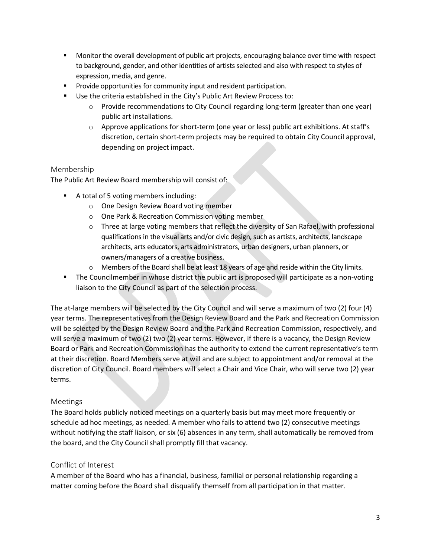- Monitor the overall development of public art projects, encouraging balance over time with respect to background, gender, and other identities of artists selected and also with respect to styles of expression, media, and genre.
- **Provide opportunities for community input and resident participation.**
- Use the criteria established in the City's Public Art Review Process to:
	- o Provide recommendations to City Council regarding long-term (greater than one year) public art installations.
	- o Approve applications for short-term (one year or less) public art exhibitions. At staff's discretion, certain short-term projects may be required to obtain City Council approval, depending on project impact.

#### Membership

The Public Art Review Board membership will consist of:

- A total of 5 voting members including:
	- o One Design Review Board voting member
	- o One Park & Recreation Commission voting member
	- o Three at large voting members that reflect the diversity of San Rafael, with professional qualifications in the visual arts and/or civic design, such as artists, architects, landscape architects, arts educators, arts administrators, urban designers, urban planners, or owners/managers of a creative business.
	- $\circ$  Members of the Board shall be at least 18 years of age and reside within the City limits.
- **The Councilmember in whose district the public art is proposed will participate as a non-voting** liaison to the City Council as part of the selection process.

The at-large members will be selected by the City Council and will serve a maximum of two (2) four (4) year terms. The representatives from the Design Review Board and the Park and Recreation Commission will be selected by the Design Review Board and the Park and Recreation Commission, respectively, and will serve a maximum of two (2) two (2) year terms. However, if there is a vacancy, the Design Review Board or Park and Recreation Commission has the authority to extend the current representative's term at their discretion. Board Members serve at will and are subject to appointment and/or removal at the discretion of City Council. Board members will select a Chair and Vice Chair, who will serve two (2) year terms.

## Meetings

The Board holds publicly noticed meetings on a quarterly basis but may meet more frequently or schedule ad hoc meetings, as needed. A member who fails to attend two (2) consecutive meetings without notifying the staff liaison, or six (6) absences in any term, shall automatically be removed from the board, and the City Council shall promptly fill that vacancy.

#### Conflict of Interest

A member of the Board who has a financial, business, familial or personal relationship regarding a matter coming before the Board shall disqualify themself from all participation in that matter.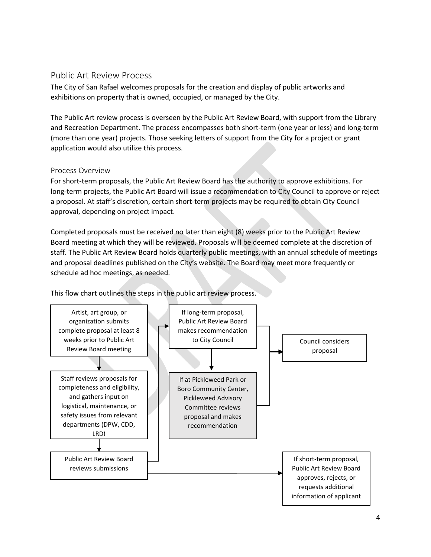## Public Art Review Process

The City of San Rafael welcomes proposals for the creation and display of public artworks and exhibitions on property that is owned, occupied, or managed by the City.

The Public Art review process is overseen by the Public Art Review Board, with support from the Library and Recreation Department. The process encompasses both short-term (one year or less) and long-term (more than one year) projects. Those seeking letters of support from the City for a project or grant application would also utilize this process.

#### Process Overview

For short-term proposals, the Public Art Review Board has the authority to approve exhibitions. For long-term projects, the Public Art Board will issue a recommendation to City Council to approve or reject a proposal. At staff's discretion, certain short-term projects may be required to obtain City Council approval, depending on project impact.

Completed proposals must be received no later than eight (8) weeks prior to the Public Art Review Board meeting at which they will be reviewed. Proposals will be deemed complete at the discretion of staff. The Public Art Review Board holds quarterly public meetings, with an annual schedule of meetings and proposal deadlines published on the City's website. The Board may meet more frequently or schedule ad hoc meetings, as needed.

This flow chart outlines the steps in the public art review process.

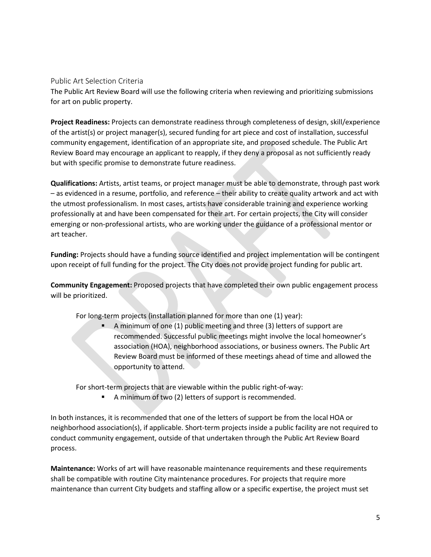Public Art Selection Criteria

The Public Art Review Board will use the following criteria when reviewing and prioritizing submissions for art on public property.

**Project Readiness:** Projects can demonstrate readiness through completeness of design, skill/experience of the artist(s) or project manager(s), secured funding for art piece and cost of installation, successful community engagement, identification of an appropriate site, and proposed schedule. The Public Art Review Board may encourage an applicant to reapply, if they deny a proposal as not sufficiently ready but with specific promise to demonstrate future readiness.

**Qualifications:** Artists, artist teams, or project manager must be able to demonstrate, through past work – as evidenced in a resume, portfolio, and reference – their ability to create quality artwork and act with the utmost professionalism. In most cases, artists have considerable training and experience working professionally at and have been compensated for their art. For certain projects, the City will consider emerging or non-professional artists, who are working under the guidance of a professional mentor or art teacher.

**Funding:** Projects should have a funding source identified and project implementation will be contingent upon receipt of full funding for the project. The City does not provide project funding for public art.

**Community Engagement:** Proposed projects that have completed their own public engagement process will be prioritized.

For long-term projects (installation planned for more than one (1) year):

 A minimum of one (1) public meeting and three (3) letters of support are recommended. Successful public meetings might involve the local homeowner's association (HOA), neighborhood associations, or business owners. The Public Art Review Board must be informed of these meetings ahead of time and allowed the opportunity to attend.

For short-term projects that are viewable within the public right-of-way:

A minimum of two (2) letters of support is recommended.

In both instances, it is recommended that one of the letters of support be from the local HOA or neighborhood association(s), if applicable. Short-term projects inside a public facility are not required to conduct community engagement, outside of that undertaken through the Public Art Review Board process.

**Maintenance:** Works of art will have reasonable maintenance requirements and these requirements shall be compatible with routine City maintenance procedures. For projects that require more maintenance than current City budgets and staffing allow or a specific expertise, the project must set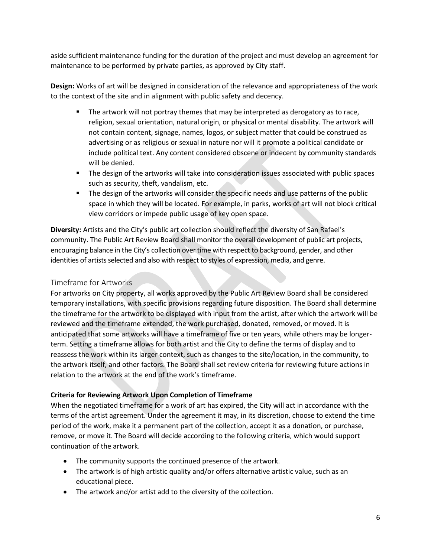aside sufficient maintenance funding for the duration of the project and must develop an agreement for maintenance to be performed by private parties, as approved by City staff.

**Design:** Works of art will be designed in consideration of the relevance and appropriateness of the work to the context of the site and in alignment with public safety and decency.

- **The artwork will not portray themes that may be interpreted as derogatory as to race,** religion, sexual orientation, natural origin, or physical or mental disability. The artwork will not contain content, signage, names, logos, or subject matter that could be construed as advertising or as religious or sexual in nature nor will it promote a political candidate or include political text. Any content considered obscene or indecent by community standards will be denied.
- **The design of the artworks will take into consideration issues associated with public spaces** such as security, theft, vandalism, etc.
- **The design of the artworks will consider the specific needs and use patterns of the public** space in which they will be located. For example, in parks, works of art will not block critical view corridors or impede public usage of key open space.

**Diversity:** Artists and the City's public art collection should reflect the diversity of San Rafael's community. The Public Art Review Board shall monitor the overall development of public art projects, encouraging balance in the City's collection over time with respect to background, gender, and other identities of artists selected and also with respect to styles of expression, media, and genre.

## Timeframe for Artworks

For artworks on City property, all works approved by the Public Art Review Board shall be considered temporary installations, with specific provisions regarding future disposition. The Board shall determine the timeframe for the artwork to be displayed with input from the artist, after which the artwork will be reviewed and the timeframe extended, the work purchased, donated, removed, or moved. It is anticipated that some artworks will have a timeframe of five or ten years, while others may be longerterm. Setting a timeframe allows for both artist and the City to define the terms of display and to reassess the work within its larger context, such as changes to the site/location, in the community, to the artwork itself, and other factors. The Board shall set review criteria for reviewing future actions in relation to the artwork at the end of the work's timeframe.

#### **Criteria for Reviewing Artwork Upon Completion of Timeframe**

When the negotiated timeframe for a work of art has expired, the City will act in accordance with the terms of the artist agreement. Under the agreement it may, in its discretion, choose to extend the time period of the work, make it a permanent part of the collection, accept it as a donation, or purchase, remove, or move it. The Board will decide according to the following criteria, which would support continuation of the artwork.

- The community supports the continued presence of the artwork.
- The artwork is of high artistic quality and/or offers alternative artistic value, such as an educational piece.
- The artwork and/or artist add to the diversity of the collection.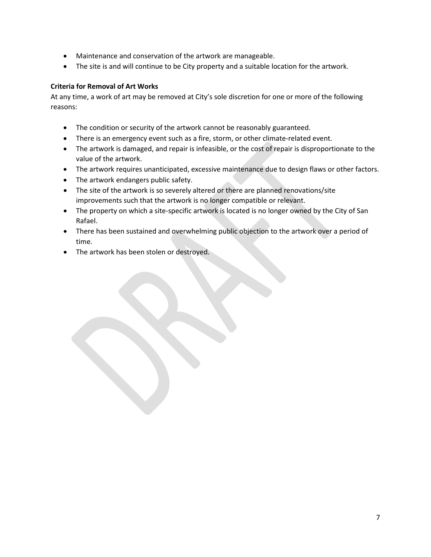- Maintenance and conservation of the artwork are manageable.
- The site is and will continue to be City property and a suitable location for the artwork.

#### **Criteria for Removal of Art Works**

At any time, a work of art may be removed at City's sole discretion for one or more of the following reasons:

- The condition or security of the artwork cannot be reasonably guaranteed.
- There is an emergency event such as a fire, storm, or other climate-related event.
- The artwork is damaged, and repair is infeasible, or the cost of repair is disproportionate to the value of the artwork.
- The artwork requires unanticipated, excessive maintenance due to design flaws or other factors.
- The artwork endangers public safety.
- The site of the artwork is so severely altered or there are planned renovations/site improvements such that the artwork is no longer compatible or relevant.
- The property on which a site-specific artwork is located is no longer owned by the City of San Rafael.
- There has been sustained and overwhelming public objection to the artwork over a period of time.
- The artwork has been stolen or destroyed.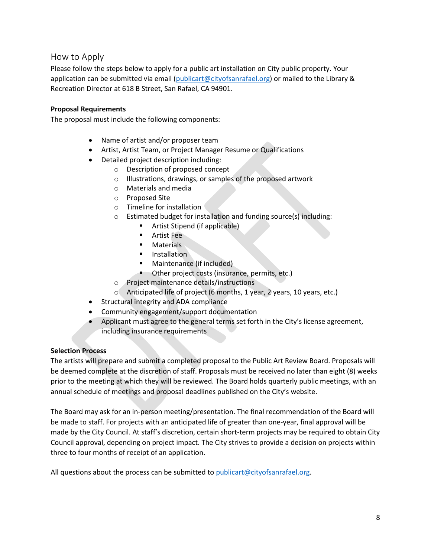## How to Apply

Please follow the steps below to apply for a public art installation on City public property. Your application can be submitted via email [\(publicart@cityofsanrafael.org\)](mailto:publicart@cityofsanrafael.org) or mailed to the Library & Recreation Director at 618 B Street, San Rafael, CA 94901.

#### **Proposal Requirements**

The proposal must include the following components:

- Name of artist and/or proposer team
- Artist, Artist Team, or Project Manager Resume or Qualifications
- Detailed project description including:
	- o Description of proposed concept
	- o Illustrations, drawings, or samples of the proposed artwork
	- o Materials and media
	- o Proposed Site
	- o Timeline for installation
	- o Estimated budget for installation and funding source(s) including:
		- **EXECUTE:** Artist Stipend (if applicable)
		- **Artist Fee**
		- **Naterials**
		- **Installation**
		- **Maintenance (if included)**
		- **•** Other project costs (insurance, permits, etc.)
	- o Project maintenance details/instructions
	- o Anticipated life of project (6 months, 1 year, 2 years, 10 years, etc.)
- Structural integrity and ADA compliance
- Community engagement/support documentation
- Applicant must agree to the general terms set forth in the City's license agreement, including insurance requirements

#### **Selection Process**

The artists will prepare and submit a completed proposal to the Public Art Review Board. Proposals will be deemed complete at the discretion of staff. Proposals must be received no later than eight (8) weeks prior to the meeting at which they will be reviewed. The Board holds quarterly public meetings, with an annual schedule of meetings and proposal deadlines published on the City's website.

The Board may ask for an in-person meeting/presentation. The final recommendation of the Board will be made to staff. For projects with an anticipated life of greater than one-year, final approval will be made by the City Council. At staff's discretion, certain short-term projects may be required to obtain City Council approval, depending on project impact. The City strives to provide a decision on projects within three to four months of receipt of an application.

All questions about the process can be submitted to [publicart@cityofsanrafael.org.](mailto:publicart@cityofsanrafael.org)